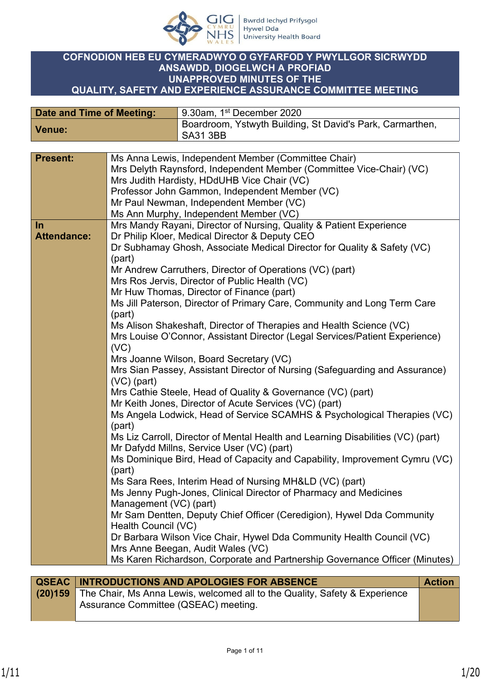

## **COFNODION HEB EU CYMERADWYO O GYFARFOD Y PWYLLGOR SICRWYDD ANSAWDD, DIOGELWCH A PROFIAD UNAPPROVED MINUTES OF THE QUALITY, SAFETY AND EXPERIENCE ASSURANCE COMMITTEE MEETING**

| Date and Time of Meeting: | 9.30am, 1st December 2020                                                    |
|---------------------------|------------------------------------------------------------------------------|
| <b>Venue:</b>             | Boardroom, Ystwyth Building, St David's Park, Carmarthen,<br><b>SA31 3BB</b> |

| <b>Present:</b>    | Ms Anna Lewis, Independent Member (Committee Chair)                                  |
|--------------------|--------------------------------------------------------------------------------------|
|                    | Mrs Delyth Raynsford, Independent Member (Committee Vice-Chair) (VC)                 |
|                    | Mrs Judith Hardisty, HDdUHB Vice Chair (VC)                                          |
|                    | Professor John Gammon, Independent Member (VC)                                       |
|                    | Mr Paul Newman, Independent Member (VC)                                              |
|                    | Ms Ann Murphy, Independent Member (VC)                                               |
| $\ln$              | Mrs Mandy Rayani, Director of Nursing, Quality & Patient Experience                  |
| <b>Attendance:</b> | Dr Philip Kloer, Medical Director & Deputy CEO                                       |
|                    | Dr Subhamay Ghosh, Associate Medical Director for Quality & Safety (VC)<br>(part)    |
|                    | Mr Andrew Carruthers, Director of Operations (VC) (part)                             |
|                    | Mrs Ros Jervis, Director of Public Health (VC)                                       |
|                    | Mr Huw Thomas, Director of Finance (part)                                            |
|                    | Ms Jill Paterson, Director of Primary Care, Community and Long Term Care             |
|                    | (part)                                                                               |
|                    | Ms Alison Shakeshaft, Director of Therapies and Health Science (VC)                  |
|                    | Mrs Louise O'Connor, Assistant Director (Legal Services/Patient Experience)          |
|                    | (VC)                                                                                 |
|                    | Mrs Joanne Wilson, Board Secretary (VC)                                              |
|                    | Mrs Sian Passey, Assistant Director of Nursing (Safeguarding and Assurance)          |
|                    | $(VC)$ (part)                                                                        |
|                    | Mrs Cathie Steele, Head of Quality & Governance (VC) (part)                          |
|                    | Mr Keith Jones, Director of Acute Services (VC) (part)                               |
|                    | Ms Angela Lodwick, Head of Service SCAMHS & Psychological Therapies (VC)             |
|                    | (part)                                                                               |
|                    | Ms Liz Carroll, Director of Mental Health and Learning Disabilities (VC) (part)      |
|                    | Mr Dafydd Millns, Service User (VC) (part)                                           |
|                    | Ms Dominique Bird, Head of Capacity and Capability, Improvement Cymru (VC)<br>(part) |
|                    | Ms Sara Rees, Interim Head of Nursing MH&LD (VC) (part)                              |
|                    | Ms Jenny Pugh-Jones, Clinical Director of Pharmacy and Medicines                     |
|                    | Management (VC) (part)                                                               |
|                    | Mr Sam Dentten, Deputy Chief Officer (Ceredigion), Hywel Dda Community               |
|                    | Health Council (VC)                                                                  |
|                    | Dr Barbara Wilson Vice Chair, Hywel Dda Community Health Council (VC)                |
|                    | Mrs Anne Beegan, Audit Wales (VC)                                                    |
|                    | Ms Karen Richardson, Corporate and Partnership Governance Officer (Minutes)          |
|                    |                                                                                      |

| QSEAC   INTRODUCTIONS AND APOLOGIES FOR ABSENCE                                    | <b>Action</b> |
|------------------------------------------------------------------------------------|---------------|
| (20)159 The Chair, Ms Anna Lewis, welcomed all to the Quality, Safety & Experience |               |
| Assurance Committee (QSEAC) meeting.                                               |               |
|                                                                                    |               |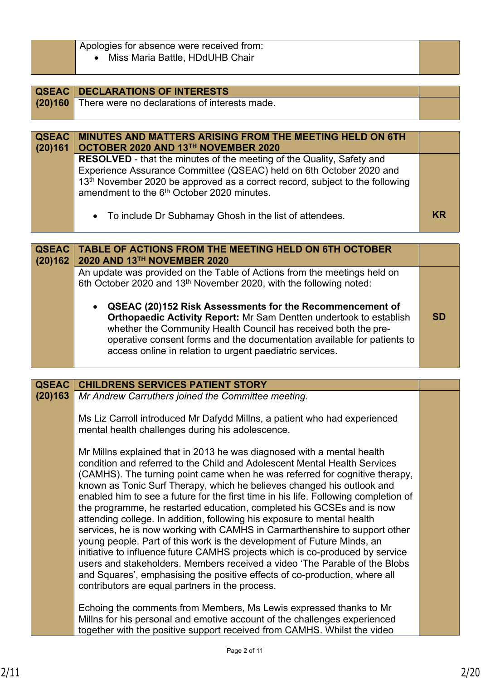| Apologies for absence were received from: |  |
|-------------------------------------------|--|
| Miss Maria Battle, HDdUHB Chair           |  |
|                                           |  |

| QSEAC        | <b>DECLARATIONS OF INTERESTS</b>                                                         |  |
|--------------|------------------------------------------------------------------------------------------|--|
| (20)160      | There were no declarations of interests made.                                            |  |
|              |                                                                                          |  |
|              |                                                                                          |  |
| <b>QSEAC</b> | MINUTES AND MATTERS ARISING FROM THE MEETING HELD ON 6TH                                 |  |
| (20)161      | OCTOBER 2020 AND 13TH NOVEMBER 2020                                                      |  |
|              | <b>RESOLVED</b> - that the minutes of the meeting of the Quality, Safety and             |  |
|              | Experience Assurance Committee (QSEAC) held on 6th October 2020 and                      |  |
|              | 13 <sup>th</sup> November 2020 be approved as a correct record, subject to the following |  |
|              | amendment to the 6 <sup>th</sup> October 2020 minutes.                                   |  |
|              |                                                                                          |  |
|              | • To include Dr Subhamay Ghosh in the list of attendees.                                 |  |

| <b>QSEAC</b><br>(20)162 | <b>TABLE OF ACTIONS FROM THE MEETING HELD ON 6TH OCTOBER</b><br>2020 AND 13TH NOVEMBER 2020                                                                                                                                                                                                                                                                                                                                                  |           |
|-------------------------|----------------------------------------------------------------------------------------------------------------------------------------------------------------------------------------------------------------------------------------------------------------------------------------------------------------------------------------------------------------------------------------------------------------------------------------------|-----------|
|                         | An update was provided on the Table of Actions from the meetings held on<br>6th October 2020 and 13 <sup>th</sup> November 2020, with the following noted:<br>• QSEAC (20)152 Risk Assessments for the Recommencement of<br>Orthopaedic Activity Report: Mr Sam Dentten undertook to establish<br>whether the Community Health Council has received both the pre-<br>operative consent forms and the documentation available for patients to | <b>SD</b> |
|                         | access online in relation to urgent paediatric services.                                                                                                                                                                                                                                                                                                                                                                                     |           |

| <b>QSEAC</b> | <b>CHILDRENS SERVICES PATIENT STORY</b>                                                                                                                                                                                                                                                                                                                                                                                                                                                                                                                                                                                                                                                                                                                                                                                                                                                                                                                                                                         |  |
|--------------|-----------------------------------------------------------------------------------------------------------------------------------------------------------------------------------------------------------------------------------------------------------------------------------------------------------------------------------------------------------------------------------------------------------------------------------------------------------------------------------------------------------------------------------------------------------------------------------------------------------------------------------------------------------------------------------------------------------------------------------------------------------------------------------------------------------------------------------------------------------------------------------------------------------------------------------------------------------------------------------------------------------------|--|
| (20)163      | Mr Andrew Carruthers joined the Committee meeting.                                                                                                                                                                                                                                                                                                                                                                                                                                                                                                                                                                                                                                                                                                                                                                                                                                                                                                                                                              |  |
|              | Ms Liz Carroll introduced Mr Dafydd Millns, a patient who had experienced<br>mental health challenges during his adolescence.                                                                                                                                                                                                                                                                                                                                                                                                                                                                                                                                                                                                                                                                                                                                                                                                                                                                                   |  |
|              | Mr Millns explained that in 2013 he was diagnosed with a mental health<br>condition and referred to the Child and Adolescent Mental Health Services<br>(CAMHS). The turning point came when he was referred for cognitive therapy,<br>known as Tonic Surf Therapy, which he believes changed his outlook and<br>enabled him to see a future for the first time in his life. Following completion of<br>the programme, he restarted education, completed his GCSEs and is now<br>attending college. In addition, following his exposure to mental health<br>services, he is now working with CAMHS in Carmarthenshire to support other<br>young people. Part of this work is the development of Future Minds, an<br>initiative to influence future CAMHS projects which is co-produced by service<br>users and stakeholders. Members received a video 'The Parable of the Blobs<br>and Squares', emphasising the positive effects of co-production, where all<br>contributors are equal partners in the process. |  |
|              | Echoing the comments from Members, Ms Lewis expressed thanks to Mr<br>Millns for his personal and emotive account of the challenges experienced<br>together with the positive support received from CAMHS. Whilst the video                                                                                                                                                                                                                                                                                                                                                                                                                                                                                                                                                                                                                                                                                                                                                                                     |  |

I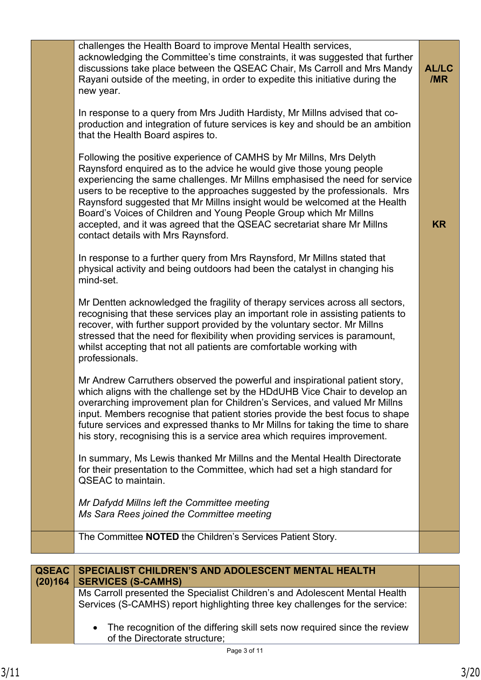|                         | challenges the Health Board to improve Mental Health services,<br>acknowledging the Committee's time constraints, it was suggested that further<br>discussions take place between the QSEAC Chair, Ms Carroll and Mrs Mandy<br>Rayani outside of the meeting, in order to expedite this initiative during the<br>new year.<br>In response to a query from Mrs Judith Hardisty, Mr Millns advised that co-<br>production and integration of future services is key and should be an ambition<br>that the Health Board aspires to.<br>Following the positive experience of CAMHS by Mr Millns, Mrs Delyth<br>Raynsford enquired as to the advice he would give those young people<br>experiencing the same challenges. Mr Millns emphasised the need for service | <b>AL/LC</b><br>/MR |
|-------------------------|----------------------------------------------------------------------------------------------------------------------------------------------------------------------------------------------------------------------------------------------------------------------------------------------------------------------------------------------------------------------------------------------------------------------------------------------------------------------------------------------------------------------------------------------------------------------------------------------------------------------------------------------------------------------------------------------------------------------------------------------------------------|---------------------|
|                         | users to be receptive to the approaches suggested by the professionals. Mrs<br>Raynsford suggested that Mr Millns insight would be welcomed at the Health<br>Board's Voices of Children and Young People Group which Mr Millns<br>accepted, and it was agreed that the QSEAC secretariat share Mr Millns<br>contact details with Mrs Raynsford.                                                                                                                                                                                                                                                                                                                                                                                                                | <b>KR</b>           |
|                         | In response to a further query from Mrs Raynsford, Mr Millns stated that<br>physical activity and being outdoors had been the catalyst in changing his<br>mind-set.                                                                                                                                                                                                                                                                                                                                                                                                                                                                                                                                                                                            |                     |
|                         | Mr Dentten acknowledged the fragility of therapy services across all sectors,<br>recognising that these services play an important role in assisting patients to<br>recover, with further support provided by the voluntary sector. Mr Millns<br>stressed that the need for flexibility when providing services is paramount,<br>whilst accepting that not all patients are comfortable working with<br>professionals.                                                                                                                                                                                                                                                                                                                                         |                     |
|                         | Mr Andrew Carruthers observed the powerful and inspirational patient story,<br>which aligns with the challenge set by the HDdUHB Vice Chair to develop an<br>overarching improvement plan for Children's Services, and valued Mr Millns<br>input. Members recognise that patient stories provide the best focus to shape<br>future services and expressed thanks to Mr Millns for taking the time to share<br>his story, recognising this is a service area which requires improvement.                                                                                                                                                                                                                                                                        |                     |
|                         | In summary, Ms Lewis thanked Mr Millns and the Mental Health Directorate<br>for their presentation to the Committee, which had set a high standard for<br><b>QSEAC</b> to maintain.                                                                                                                                                                                                                                                                                                                                                                                                                                                                                                                                                                            |                     |
|                         | Mr Dafydd Millns left the Committee meeting<br>Ms Sara Rees joined the Committee meeting                                                                                                                                                                                                                                                                                                                                                                                                                                                                                                                                                                                                                                                                       |                     |
|                         | The Committee NOTED the Children's Services Patient Story.                                                                                                                                                                                                                                                                                                                                                                                                                                                                                                                                                                                                                                                                                                     |                     |
|                         |                                                                                                                                                                                                                                                                                                                                                                                                                                                                                                                                                                                                                                                                                                                                                                |                     |
| <b>QSEAC</b><br>(20)164 | SPECIALIST CHILDREN'S AND ADOLESCENT MENTAL HEALTH<br><b>SERVICES (S-CAMHS)</b>                                                                                                                                                                                                                                                                                                                                                                                                                                                                                                                                                                                                                                                                                |                     |
|                         | Ms Carroll presented the Specialist Children's and Adolescent Mental Health<br>Services (S-CAMHS) report highlighting three key challenges for the service:                                                                                                                                                                                                                                                                                                                                                                                                                                                                                                                                                                                                    |                     |
|                         | The recognition of the differing skill sets now required since the review<br>of the Directorate structure;                                                                                                                                                                                                                                                                                                                                                                                                                                                                                                                                                                                                                                                     |                     |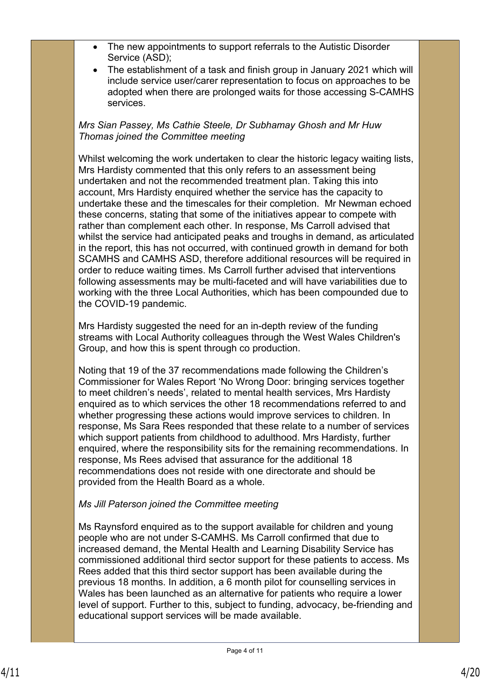- The new appointments to support referrals to the Autistic Disorder Service (ASD);
- The establishment of a task and finish group in January 2021 which will include service user/carer representation to focus on approaches to be adopted when there are prolonged waits for those accessing S-CAMHS services.

*Mrs Sian Passey, Ms Cathie Steele, Dr Subhamay Ghosh and Mr Huw Thomas joined the Committee meeting*

Whilst welcoming the work undertaken to clear the historic legacy waiting lists, Mrs Hardisty commented that this only refers to an assessment being undertaken and not the recommended treatment plan. Taking this into account, Mrs Hardisty enquired whether the service has the capacity to undertake these and the timescales for their completion. Mr Newman echoed these concerns, stating that some of the initiatives appear to compete with rather than complement each other. In response, Ms Carroll advised that whilst the service had anticipated peaks and troughs in demand, as articulated in the report, this has not occurred, with continued growth in demand for both SCAMHS and CAMHS ASD, therefore additional resources will be required in order to reduce waiting times. Ms Carroll further advised that interventions following assessments may be multi-faceted and will have variabilities due to working with the three Local Authorities, which has been compounded due to the COVID-19 pandemic.

Mrs Hardisty suggested the need for an in-depth review of the funding streams with Local Authority colleagues through the West Wales Children's Group, and how this is spent through co production.

Noting that 19 of the 37 recommendations made following the Children's Commissioner for Wales Report 'No Wrong Door: bringing services together to meet children's needs', related to mental health services, Mrs Hardisty enquired as to which services the other 18 recommendations referred to and whether progressing these actions would improve services to children. In response, Ms Sara Rees responded that these relate to a number of services which support patients from childhood to adulthood. Mrs Hardisty, further enquired, where the responsibility sits for the remaining recommendations. In response, Ms Rees advised that assurance for the additional 18 recommendations does not reside with one directorate and should be provided from the Health Board as a whole.

# *Ms Jill Paterson joined the Committee meeting*

Ms Raynsford enquired as to the support available for children and young people who are not under S-CAMHS. Ms Carroll confirmed that due to increased demand, the Mental Health and Learning Disability Service has commissioned additional third sector support for these patients to access. Ms Rees added that this third sector support has been available during the previous 18 months. In addition, a 6 month pilot for counselling services in Wales has been launched as an alternative for patients who require a lower level of support. Further to this, subject to funding, advocacy, be-friending and educational support services will be made available.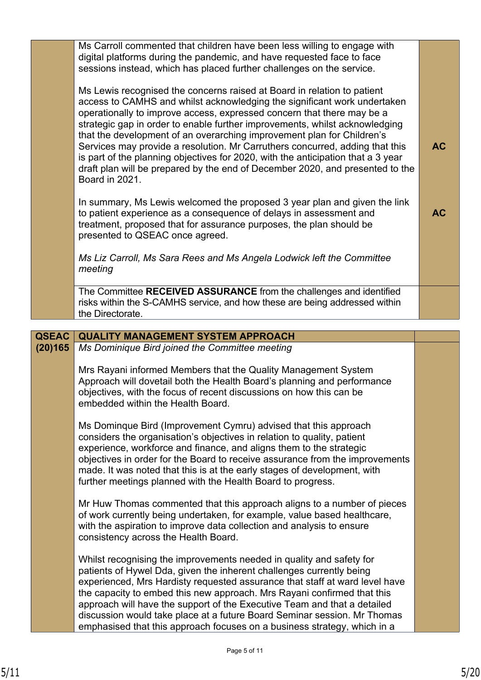|                         | Ms Carroll commented that children have been less willing to engage with<br>digital platforms during the pandemic, and have requested face to face<br>sessions instead, which has placed further challenges on the service.<br>Ms Lewis recognised the concerns raised at Board in relation to patient<br>access to CAMHS and whilst acknowledging the significant work undertaken<br>operationally to improve access, expressed concern that there may be a<br>strategic gap in order to enable further improvements, whilst acknowledging<br>that the development of an overarching improvement plan for Children's<br>Services may provide a resolution. Mr Carruthers concurred, adding that this<br>is part of the planning objectives for 2020, with the anticipation that a 3 year | <b>AC</b> |
|-------------------------|-------------------------------------------------------------------------------------------------------------------------------------------------------------------------------------------------------------------------------------------------------------------------------------------------------------------------------------------------------------------------------------------------------------------------------------------------------------------------------------------------------------------------------------------------------------------------------------------------------------------------------------------------------------------------------------------------------------------------------------------------------------------------------------------|-----------|
|                         | draft plan will be prepared by the end of December 2020, and presented to the<br>Board in 2021.<br>In summary, Ms Lewis welcomed the proposed 3 year plan and given the link<br>to patient experience as a consequence of delays in assessment and<br>treatment, proposed that for assurance purposes, the plan should be<br>presented to QSEAC once agreed.                                                                                                                                                                                                                                                                                                                                                                                                                              | <b>AC</b> |
|                         | Ms Liz Carroll, Ms Sara Rees and Ms Angela Lodwick left the Committee<br>meeting                                                                                                                                                                                                                                                                                                                                                                                                                                                                                                                                                                                                                                                                                                          |           |
|                         | The Committee RECEIVED ASSURANCE from the challenges and identified<br>risks within the S-CAMHS service, and how these are being addressed within<br>the Directorate.                                                                                                                                                                                                                                                                                                                                                                                                                                                                                                                                                                                                                     |           |
|                         |                                                                                                                                                                                                                                                                                                                                                                                                                                                                                                                                                                                                                                                                                                                                                                                           |           |
| <b>QSEAC</b><br>(20)165 | <b>QUALITY MANAGEMENT SYSTEM APPROACH</b><br>Ms Dominique Bird joined the Committee meeting                                                                                                                                                                                                                                                                                                                                                                                                                                                                                                                                                                                                                                                                                               |           |
|                         | Mrs Rayani informed Members that the Quality Management System<br>Approach will dovetail both the Health Board's planning and performance<br>objectives, with the focus of recent discussions on how this can be<br>embedded within the Health Board.                                                                                                                                                                                                                                                                                                                                                                                                                                                                                                                                     |           |
|                         | Ms Dominque Bird (Improvement Cymru) advised that this approach<br>considers the organisation's objectives in relation to quality, patient<br>experience, workforce and finance, and aligns them to the strategic<br>objectives in order for the Board to receive assurance from the improvements<br>made. It was noted that this is at the early stages of development, with<br>further meetings planned with the Health Board to progress.                                                                                                                                                                                                                                                                                                                                              |           |
|                         | Mr Huw Thomas commented that this approach aligns to a number of pieces<br>of work currently being undertaken, for example, value based healthcare,<br>with the aspiration to improve data collection and analysis to ensure<br>consistency across the Health Board.                                                                                                                                                                                                                                                                                                                                                                                                                                                                                                                      |           |
|                         | Whilst recognising the improvements needed in quality and safety for<br>patients of Hywel Dda, given the inherent challenges currently being<br>experienced, Mrs Hardisty requested assurance that staff at ward level have<br>the capacity to embed this new approach. Mrs Rayani confirmed that this<br>approach will have the support of the Executive Team and that a detailed<br>discussion would take place at a future Board Seminar session. Mr Thomas<br>emphasised that this approach focuses on a business strategy, which in a                                                                                                                                                                                                                                                |           |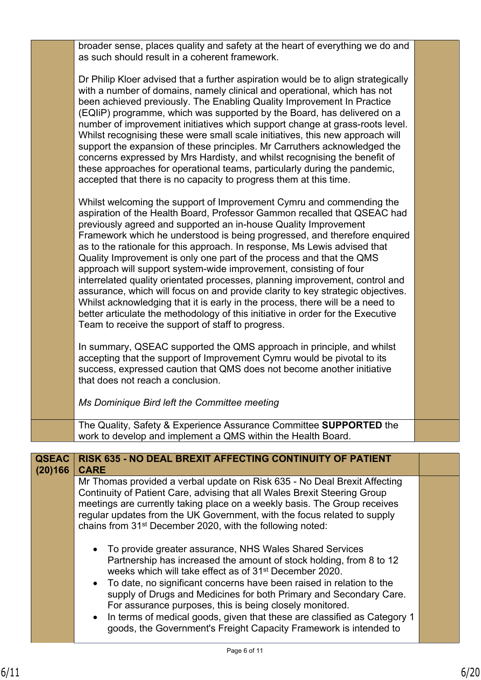|                         | broader sense, places quality and safety at the heart of everything we do and<br>as such should result in a coherent framework.                                                                                                                                                                                                                                                                                                                                                                                                                                                                                                                                                                                                                                                                                                                                                                                        |  |
|-------------------------|------------------------------------------------------------------------------------------------------------------------------------------------------------------------------------------------------------------------------------------------------------------------------------------------------------------------------------------------------------------------------------------------------------------------------------------------------------------------------------------------------------------------------------------------------------------------------------------------------------------------------------------------------------------------------------------------------------------------------------------------------------------------------------------------------------------------------------------------------------------------------------------------------------------------|--|
|                         | Dr Philip Kloer advised that a further aspiration would be to align strategically<br>with a number of domains, namely clinical and operational, which has not<br>been achieved previously. The Enabling Quality Improvement In Practice<br>(EQIIP) programme, which was supported by the Board, has delivered on a<br>number of improvement initiatives which support change at grass-roots level.<br>Whilst recognising these were small scale initiatives, this new approach will<br>support the expansion of these principles. Mr Carruthers acknowledged the<br>concerns expressed by Mrs Hardisty, and whilst recognising the benefit of<br>these approaches for operational teams, particularly during the pandemic,<br>accepted that there is no capacity to progress them at this time.                                                                                                                        |  |
|                         | Whilst welcoming the support of Improvement Cymru and commending the<br>aspiration of the Health Board, Professor Gammon recalled that QSEAC had<br>previously agreed and supported an in-house Quality Improvement<br>Framework which he understood is being progressed, and therefore enquired<br>as to the rationale for this approach. In response, Ms Lewis advised that<br>Quality Improvement is only one part of the process and that the QMS<br>approach will support system-wide improvement, consisting of four<br>interrelated quality orientated processes, planning improvement, control and<br>assurance, which will focus on and provide clarity to key strategic objectives.<br>Whilst acknowledging that it is early in the process, there will be a need to<br>better articulate the methodology of this initiative in order for the Executive<br>Team to receive the support of staff to progress. |  |
|                         | In summary, QSEAC supported the QMS approach in principle, and whilst<br>accepting that the support of Improvement Cymru would be pivotal to its<br>success, expressed caution that QMS does not become another initiative<br>that does not reach a conclusion.                                                                                                                                                                                                                                                                                                                                                                                                                                                                                                                                                                                                                                                        |  |
|                         | Ms Dominique Bird left the Committee meeting                                                                                                                                                                                                                                                                                                                                                                                                                                                                                                                                                                                                                                                                                                                                                                                                                                                                           |  |
|                         | The Quality, Safety & Experience Assurance Committee SUPPORTED the<br>work to develop and implement a QMS within the Health Board.                                                                                                                                                                                                                                                                                                                                                                                                                                                                                                                                                                                                                                                                                                                                                                                     |  |
|                         |                                                                                                                                                                                                                                                                                                                                                                                                                                                                                                                                                                                                                                                                                                                                                                                                                                                                                                                        |  |
| <b>QSEAC</b><br>(20)166 | RISK 635 - NO DEAL BREXIT AFFECTING CONTINUITY OF PATIENT<br><b>CARE</b>                                                                                                                                                                                                                                                                                                                                                                                                                                                                                                                                                                                                                                                                                                                                                                                                                                               |  |
|                         | Mr Thomas provided a verbal update on Risk 635 - No Deal Brexit Affecting                                                                                                                                                                                                                                                                                                                                                                                                                                                                                                                                                                                                                                                                                                                                                                                                                                              |  |

Continuity of Patient Care, advising that all Wales Brexit Steering Group meetings are currently taking place on a weekly basis. The Group receives regular updates from the UK Government, with the focus related to supply chains from 31st December 2020, with the following noted:

- To provide greater assurance, NHS Wales Shared Services Partnership has increased the amount of stock holding, from 8 to 12 weeks which will take effect as of 31<sup>st</sup> December 2020.
- To date, no significant concerns have been raised in relation to the supply of Drugs and Medicines for both Primary and Secondary Care. For assurance purposes, this is being closely monitored.
- In terms of medical goods, given that these are classified as Category 1 goods, the Government's Freight Capacity Framework is intended to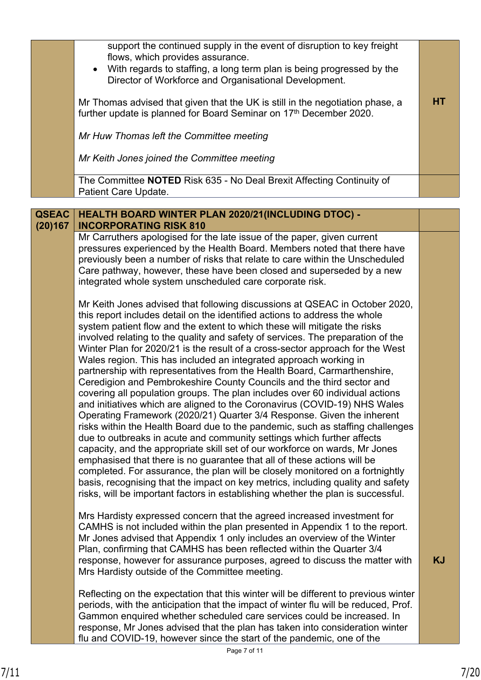|                         | support the continued supply in the event of disruption to key freight<br>flows, which provides assurance.<br>With regards to staffing, a long term plan is being progressed by the<br>$\bullet$<br>Director of Workforce and Organisational Development. |           |
|-------------------------|-----------------------------------------------------------------------------------------------------------------------------------------------------------------------------------------------------------------------------------------------------------|-----------|
|                         | Mr Thomas advised that given that the UK is still in the negotiation phase, a<br>further update is planned for Board Seminar on 17th December 2020.                                                                                                       | <b>HT</b> |
|                         | Mr Huw Thomas left the Committee meeting                                                                                                                                                                                                                  |           |
|                         | Mr Keith Jones joined the Committee meeting                                                                                                                                                                                                               |           |
|                         | The Committee NOTED Risk 635 - No Deal Brexit Affecting Continuity of<br><b>Patient Care Update.</b>                                                                                                                                                      |           |
|                         |                                                                                                                                                                                                                                                           |           |
| <b>QSEAC</b><br>(20)167 | <b>HEALTH BOARD WINTER PLAN 2020/21 (INCLUDING DTOC) -</b><br><b>INCORPORATING RISK 810</b>                                                                                                                                                               |           |
|                         | Mr Carruthers apologised for the late issue of the paper, given current<br>وينمط ومعمله فمعله امعهم مسماه والمسمار المسمح الطالمما لممالسه والممحوم مستسمسين ومستن                                                                                        |           |

pressures experienced by the Health Board. Members noted that there have previously been a number of risks that relate to care within the Unscheduled Care pathway, however, these have been closed and superseded by a new integrated whole system unscheduled care corporate risk.

Mr Keith Jones advised that following discussions at QSEAC in October 2020, this report includes detail on the identified actions to address the whole system patient flow and the extent to which these will mitigate the risks involved relating to the quality and safety of services. The preparation of the Winter Plan for 2020/21 is the result of a cross-sector approach for the West Wales region. This has included an integrated approach working in partnership with representatives from the Health Board, Carmarthenshire, Ceredigion and Pembrokeshire County Councils and the third sector and covering all population groups. The plan includes over 60 individual actions and initiatives which are aligned to the Coronavirus (COVID-19) NHS Wales Operating Framework (2020/21) Quarter 3/4 Response. Given the inherent risks within the Health Board due to the pandemic, such as staffing challenges due to outbreaks in acute and community settings which further affects capacity, and the appropriate skill set of our workforce on wards, Mr Jones emphasised that there is no guarantee that all of these actions will be completed. For assurance, the plan will be closely monitored on a fortnightly basis, recognising that the impact on key metrics, including quality and safety risks, will be important factors in establishing whether the plan is successful.

Mrs Hardisty expressed concern that the agreed increased investment for CAMHS is not included within the plan presented in Appendix 1 to the report. Mr Jones advised that Appendix 1 only includes an overview of the Winter Plan, confirming that CAMHS has been reflected within the Quarter 3/4 response, however for assurance purposes, agreed to discuss the matter with Mrs Hardisty outside of the Committee meeting.

Reflecting on the expectation that this winter will be different to previous winter periods, with the anticipation that the impact of winter flu will be reduced, Prof. Gammon enquired whether scheduled care services could be increased. In response, Mr Jones advised that the plan has taken into consideration winter flu and COVID-19, however since the start of the pandemic, one of the

**KJ**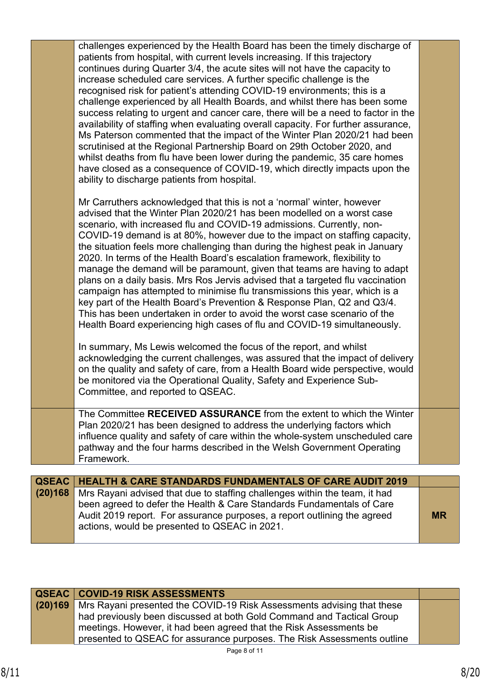|              | challenges experienced by the Health Board has been the timely discharge of<br>patients from hospital, with current levels increasing. If this trajectory<br>continues during Quarter 3/4, the acute sites will not have the capacity to<br>increase scheduled care services. A further specific challenge is the<br>recognised risk for patient's attending COVID-19 environments; this is a<br>challenge experienced by all Health Boards, and whilst there has been some<br>success relating to urgent and cancer care, there will be a need to factor in the<br>availability of staffing when evaluating overall capacity. For further assurance,<br>Ms Paterson commented that the impact of the Winter Plan 2020/21 had been<br>scrutinised at the Regional Partnership Board on 29th October 2020, and<br>whilst deaths from flu have been lower during the pandemic, 35 care homes<br>have closed as a consequence of COVID-19, which directly impacts upon the<br>ability to discharge patients from hospital. |           |
|--------------|-------------------------------------------------------------------------------------------------------------------------------------------------------------------------------------------------------------------------------------------------------------------------------------------------------------------------------------------------------------------------------------------------------------------------------------------------------------------------------------------------------------------------------------------------------------------------------------------------------------------------------------------------------------------------------------------------------------------------------------------------------------------------------------------------------------------------------------------------------------------------------------------------------------------------------------------------------------------------------------------------------------------------|-----------|
|              | Mr Carruthers acknowledged that this is not a 'normal' winter, however<br>advised that the Winter Plan 2020/21 has been modelled on a worst case<br>scenario, with increased flu and COVID-19 admissions. Currently, non-<br>COVID-19 demand is at 80%, however due to the impact on staffing capacity,<br>the situation feels more challenging than during the highest peak in January<br>2020. In terms of the Health Board's escalation framework, flexibility to<br>manage the demand will be paramount, given that teams are having to adapt<br>plans on a daily basis. Mrs Ros Jervis advised that a targeted flu vaccination<br>campaign has attempted to minimise flu transmissions this year, which is a<br>key part of the Health Board's Prevention & Response Plan, Q2 and Q3/4.<br>This has been undertaken in order to avoid the worst case scenario of the<br>Health Board experiencing high cases of flu and COVID-19 simultaneously.                                                                   |           |
|              | In summary, Ms Lewis welcomed the focus of the report, and whilst<br>acknowledging the current challenges, was assured that the impact of delivery<br>on the quality and safety of care, from a Health Board wide perspective, would<br>be monitored via the Operational Quality, Safety and Experience Sub-<br>Committee, and reported to QSEAC.                                                                                                                                                                                                                                                                                                                                                                                                                                                                                                                                                                                                                                                                       |           |
|              | The Committee RECEIVED ASSURANCE from the extent to which the Winter<br>Plan 2020/21 has been designed to address the underlying factors which<br>influence quality and safety of care within the whole-system unscheduled care<br>pathway and the four harms described in the Welsh Government Operating<br>Framework.                                                                                                                                                                                                                                                                                                                                                                                                                                                                                                                                                                                                                                                                                                 |           |
|              |                                                                                                                                                                                                                                                                                                                                                                                                                                                                                                                                                                                                                                                                                                                                                                                                                                                                                                                                                                                                                         |           |
| <b>QSEAC</b> | <b>HEALTH &amp; CARE STANDARDS FUNDAMENTALS OF CARE AUDIT 2019</b>                                                                                                                                                                                                                                                                                                                                                                                                                                                                                                                                                                                                                                                                                                                                                                                                                                                                                                                                                      |           |
| (20)168      | Mrs Rayani advised that due to staffing challenges within the team, it had<br>been agreed to defer the Health & Care Standards Fundamentals of Care<br>Audit 2019 report. For assurance purposes, a report outlining the agreed                                                                                                                                                                                                                                                                                                                                                                                                                                                                                                                                                                                                                                                                                                                                                                                         | <b>MR</b> |

| <b>QSEAC   COVID-19 RISK ASSESSMENTS</b>                                       |  |
|--------------------------------------------------------------------------------|--|
| (20)169 Mrs Rayani presented the COVID-19 Risk Assessments advising that these |  |
| had previously been discussed at both Gold Command and Tactical Group          |  |
| े meetings. However, it had been agreed that the Risk Assessments be           |  |
| presented to QSEAC for assurance purposes. The Risk Assessments outline        |  |

actions, would be presented to QSEAC in 2021.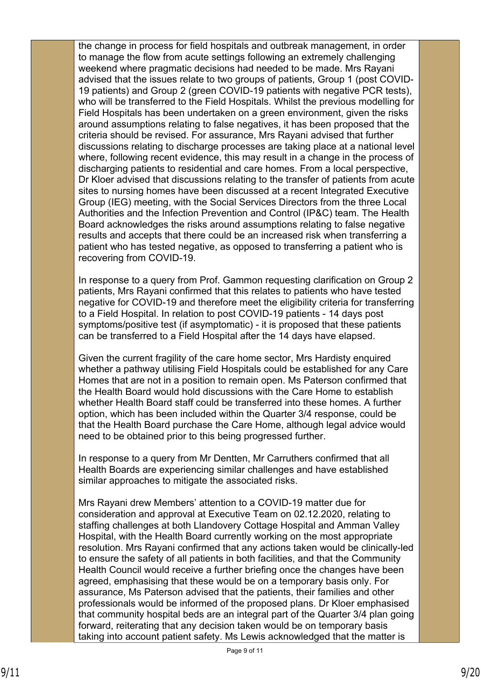the change in process for field hospitals and outbreak management, in order to manage the flow from acute settings following an extremely challenging weekend where pragmatic decisions had needed to be made. Mrs Rayani advised that the issues relate to two groups of patients, Group 1 (post COVID-19 patients) and Group 2 (green COVID-19 patients with negative PCR tests), who will be transferred to the Field Hospitals. Whilst the previous modelling for Field Hospitals has been undertaken on a green environment, given the risks around assumptions relating to false negatives, it has been proposed that the criteria should be revised. For assurance, Mrs Rayani advised that further discussions relating to discharge processes are taking place at a national level where, following recent evidence, this may result in a change in the process of discharging patients to residential and care homes. From a local perspective, Dr Kloer advised that discussions relating to the transfer of patients from acute sites to nursing homes have been discussed at a recent Integrated Executive Group (IEG) meeting, with the Social Services Directors from the three Local Authorities and the Infection Prevention and Control (IP&C) team. The Health Board acknowledges the risks around assumptions relating to false negative results and accepts that there could be an increased risk when transferring a patient who has tested negative, as opposed to transferring a patient who is recovering from COVID-19.

In response to a query from Prof. Gammon requesting clarification on Group 2 patients, Mrs Rayani confirmed that this relates to patients who have tested negative for COVID-19 and therefore meet the eligibility criteria for transferring to a Field Hospital. In relation to post COVID-19 patients - 14 days post symptoms/positive test (if asymptomatic) - it is proposed that these patients can be transferred to a Field Hospital after the 14 days have elapsed.

Given the current fragility of the care home sector, Mrs Hardisty enquired whether a pathway utilising Field Hospitals could be established for any Care Homes that are not in a position to remain open. Ms Paterson confirmed that the Health Board would hold discussions with the Care Home to establish whether Health Board staff could be transferred into these homes. A further option, which has been included within the Quarter 3/4 response, could be that the Health Board purchase the Care Home, although legal advice would need to be obtained prior to this being progressed further.

In response to a query from Mr Dentten, Mr Carruthers confirmed that all Health Boards are experiencing similar challenges and have established similar approaches to mitigate the associated risks.

Mrs Rayani drew Members' attention to a COVID-19 matter due for consideration and approval at Executive Team on 02.12.2020, relating to staffing challenges at both Llandovery Cottage Hospital and Amman Valley Hospital, with the Health Board currently working on the most appropriate resolution. Mrs Rayani confirmed that any actions taken would be clinically-led to ensure the safety of all patients in both facilities, and that the Community Health Council would receive a further briefing once the changes have been agreed, emphasising that these would be on a temporary basis only. For assurance, Ms Paterson advised that the patients, their families and other professionals would be informed of the proposed plans. Dr Kloer emphasised that community hospital beds are an integral part of the Quarter 3/4 plan going forward, reiterating that any decision taken would be on temporary basis taking into account patient safety. Ms Lewis acknowledged that the matter is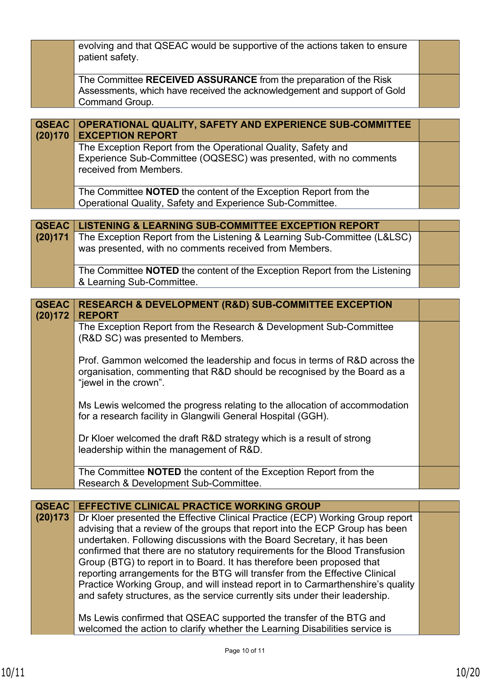|                         | evolving and that QSEAC would be supportive of the actions taken to ensure<br>patient safety.                                                                                                                                                                                                                                                                                                                                                                                                                                                                                                                                                         |  |
|-------------------------|-------------------------------------------------------------------------------------------------------------------------------------------------------------------------------------------------------------------------------------------------------------------------------------------------------------------------------------------------------------------------------------------------------------------------------------------------------------------------------------------------------------------------------------------------------------------------------------------------------------------------------------------------------|--|
|                         | The Committee RECEIVED ASSURANCE from the preparation of the Risk<br>Assessments, which have received the acknowledgement and support of Gold<br>Command Group.                                                                                                                                                                                                                                                                                                                                                                                                                                                                                       |  |
|                         |                                                                                                                                                                                                                                                                                                                                                                                                                                                                                                                                                                                                                                                       |  |
| <b>QSEAC</b><br>(20)170 | OPERATIONAL QUALITY, SAFETY AND EXPERIENCE SUB-COMMITTEE<br><b>EXCEPTION REPORT</b>                                                                                                                                                                                                                                                                                                                                                                                                                                                                                                                                                                   |  |
|                         | The Exception Report from the Operational Quality, Safety and<br>Experience Sub-Committee (OQSESC) was presented, with no comments<br>received from Members.                                                                                                                                                                                                                                                                                                                                                                                                                                                                                          |  |
|                         | The Committee <b>NOTED</b> the content of the Exception Report from the<br>Operational Quality, Safety and Experience Sub-Committee.                                                                                                                                                                                                                                                                                                                                                                                                                                                                                                                  |  |
|                         |                                                                                                                                                                                                                                                                                                                                                                                                                                                                                                                                                                                                                                                       |  |
| <b>QSEAC</b>            | <b>LISTENING &amp; LEARNING SUB-COMMITTEE EXCEPTION REPORT</b>                                                                                                                                                                                                                                                                                                                                                                                                                                                                                                                                                                                        |  |
| (20)171                 | The Exception Report from the Listening & Learning Sub-Committee (L&LSC)<br>was presented, with no comments received from Members.                                                                                                                                                                                                                                                                                                                                                                                                                                                                                                                    |  |
|                         | The Committee <b>NOTED</b> the content of the Exception Report from the Listening<br>& Learning Sub-Committee.                                                                                                                                                                                                                                                                                                                                                                                                                                                                                                                                        |  |
|                         |                                                                                                                                                                                                                                                                                                                                                                                                                                                                                                                                                                                                                                                       |  |
| <b>QSEAC</b><br>(20)172 | <b>RESEARCH &amp; DEVELOPMENT (R&amp;D) SUB-COMMITTEE EXCEPTION</b><br><b>REPORT</b>                                                                                                                                                                                                                                                                                                                                                                                                                                                                                                                                                                  |  |
|                         | The Exception Report from the Research & Development Sub-Committee                                                                                                                                                                                                                                                                                                                                                                                                                                                                                                                                                                                    |  |
|                         | (R&D SC) was presented to Members.                                                                                                                                                                                                                                                                                                                                                                                                                                                                                                                                                                                                                    |  |
|                         | Prof. Gammon welcomed the leadership and focus in terms of R&D across the<br>organisation, commenting that R&D should be recognised by the Board as a<br>"jewel in the crown".                                                                                                                                                                                                                                                                                                                                                                                                                                                                        |  |
|                         | Ms Lewis welcomed the progress relating to the allocation of accommodation<br>for a research facility in Glangwili General Hospital (GGH).                                                                                                                                                                                                                                                                                                                                                                                                                                                                                                            |  |
|                         | Dr Kloer welcomed the draft R&D strategy which is a result of strong<br>leadership within the management of R&D.                                                                                                                                                                                                                                                                                                                                                                                                                                                                                                                                      |  |
|                         | The Committee <b>NOTED</b> the content of the Exception Report from the<br>Research & Development Sub-Committee.                                                                                                                                                                                                                                                                                                                                                                                                                                                                                                                                      |  |
|                         |                                                                                                                                                                                                                                                                                                                                                                                                                                                                                                                                                                                                                                                       |  |
| <b>QSEAC</b>            | <b>EFFECTIVE CLINICAL PRACTICE WORKING GROUP</b>                                                                                                                                                                                                                                                                                                                                                                                                                                                                                                                                                                                                      |  |
| (20)173                 | Dr Kloer presented the Effective Clinical Practice (ECP) Working Group report<br>advising that a review of the groups that report into the ECP Group has been<br>undertaken. Following discussions with the Board Secretary, it has been<br>confirmed that there are no statutory requirements for the Blood Transfusion<br>Group (BTG) to report in to Board. It has therefore been proposed that<br>reporting arrangements for the BTG will transfer from the Effective Clinical<br>Practice Working Group, and will instead report in to Carmarthenshire's quality<br>and safety structures, as the service currently sits under their leadership. |  |
|                         | Ms Lewis confirmed that QSEAC supported the transfer of the BTG and<br>welcomed the action to clarify whether the Learning Disabilities service is                                                                                                                                                                                                                                                                                                                                                                                                                                                                                                    |  |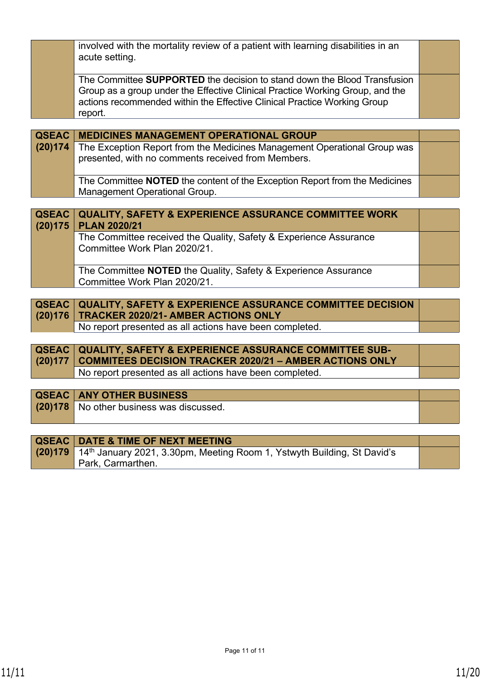|                         | involved with the mortality review of a patient with learning disabilities in an<br>acute setting.                                                                                                                                               |  |
|-------------------------|--------------------------------------------------------------------------------------------------------------------------------------------------------------------------------------------------------------------------------------------------|--|
|                         | The Committee SUPPORTED the decision to stand down the Blood Transfusion<br>Group as a group under the Effective Clinical Practice Working Group, and the<br>actions recommended within the Effective Clinical Practice Working Group<br>report. |  |
|                         |                                                                                                                                                                                                                                                  |  |
| <b>QSEAC</b>            | <b>MEDICINES MANAGEMENT OPERATIONAL GROUP</b>                                                                                                                                                                                                    |  |
| (20)174                 | The Exception Report from the Medicines Management Operational Group was<br>presented, with no comments received from Members.                                                                                                                   |  |
|                         | The Committee NOTED the content of the Exception Report from the Medicines<br>Management Operational Group.                                                                                                                                      |  |
|                         |                                                                                                                                                                                                                                                  |  |
| <b>QSEAC</b><br>(20)175 | <b>QUALITY, SAFETY &amp; EXPERIENCE ASSURANCE COMMITTEE WORK</b><br><b>PLAN 2020/21</b>                                                                                                                                                          |  |
|                         | The Committee received the Quality, Safety & Experience Assurance<br>Committee Work Plan 2020/21.                                                                                                                                                |  |
|                         | The Committee NOTED the Quality, Safety & Experience Assurance<br>Committee Work Plan 2020/21.                                                                                                                                                   |  |
|                         |                                                                                                                                                                                                                                                  |  |
| <b>QSEAC</b>            | <b>QUALITY, SAFETY &amp; EXPERIENCE ASSURANCE COMMITTEE DECISION</b>                                                                                                                                                                             |  |
| (20)176                 | <b>TRACKER 2020/21- AMBER ACTIONS ONLY</b>                                                                                                                                                                                                       |  |
|                         | No report presented as all actions have been completed.                                                                                                                                                                                          |  |
| <b>QSEAC</b>            |                                                                                                                                                                                                                                                  |  |
|                         | <b>QUALITY, SAFETY &amp; EXPERIENCE ASSURANCE COMMITTEE SUB-</b>                                                                                                                                                                                 |  |

| $\sim$ 30 EAV $\sim$ 30 ALITE VALETT & EAT ENERGE AUVOITATIVE VOINING TEE 000 -<br>(20)177   COMMITEES DECISION TRACKER 2020/21 - AMBER ACTIONS ONLY |  |
|------------------------------------------------------------------------------------------------------------------------------------------------------|--|
| No report presented as all actions have been completed.                                                                                              |  |

# **QSEAC ANY OTHER BUSINESS (20)178** No other business was discussed.

| <b>QSEAC   DATE &amp; TIME OF NEXT MEETING</b>                                              |  |
|---------------------------------------------------------------------------------------------|--|
| (20)179 14 <sup>th</sup> January 2021, 3.30pm, Meeting Room 1, Ystwyth Building, St David's |  |
| Park, Carmarthen.                                                                           |  |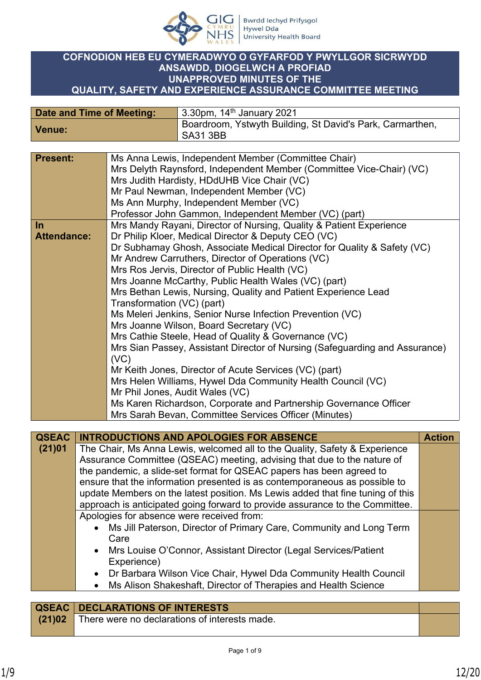

## **COFNODION HEB EU CYMERADWYO O GYFARFOD Y PWYLLGOR SICRWYDD ANSAWDD, DIOGELWCH A PROFIAD UNAPPROVED MINUTES OF THE QUALITY, SAFETY AND EXPERIENCE ASSURANCE COMMITTEE MEETING**

| Date and Time of Meeting: | 3.30pm, $14th$ January 2021                                                  |
|---------------------------|------------------------------------------------------------------------------|
| Venue:                    | Boardroom, Ystwyth Building, St David's Park, Carmarthen,<br><b>SA31 3BB</b> |

| <b>Present:</b>    |           | Ms Anna Lewis, Independent Member (Committee Chair)                            |               |  |
|--------------------|-----------|--------------------------------------------------------------------------------|---------------|--|
|                    |           | Mrs Delyth Raynsford, Independent Member (Committee Vice-Chair) (VC)           |               |  |
|                    |           | Mrs Judith Hardisty, HDdUHB Vice Chair (VC)                                    |               |  |
|                    |           | Mr Paul Newman, Independent Member (VC)                                        |               |  |
|                    |           | Ms Ann Murphy, Independent Member (VC)                                         |               |  |
|                    |           | Professor John Gammon, Independent Member (VC) (part)                          |               |  |
| In                 |           | Mrs Mandy Rayani, Director of Nursing, Quality & Patient Experience            |               |  |
| <b>Attendance:</b> |           | Dr Philip Kloer, Medical Director & Deputy CEO (VC)                            |               |  |
|                    |           |                                                                                |               |  |
|                    |           | Dr Subhamay Ghosh, Associate Medical Director for Quality & Safety (VC)        |               |  |
|                    |           | Mr Andrew Carruthers, Director of Operations (VC)                              |               |  |
|                    |           | Mrs Ros Jervis, Director of Public Health (VC)                                 |               |  |
|                    |           | Mrs Joanne McCarthy, Public Health Wales (VC) (part)                           |               |  |
|                    |           | Mrs Bethan Lewis, Nursing, Quality and Patient Experience Lead                 |               |  |
|                    |           | Transformation (VC) (part)                                                     |               |  |
|                    |           | Ms Meleri Jenkins, Senior Nurse Infection Prevention (VC)                      |               |  |
|                    |           | Mrs Joanne Wilson, Board Secretary (VC)                                        |               |  |
|                    |           | Mrs Cathie Steele, Head of Quality & Governance (VC)                           |               |  |
|                    |           | Mrs Sian Passey, Assistant Director of Nursing (Safeguarding and Assurance)    |               |  |
|                    |           | (VC)                                                                           |               |  |
|                    |           | Mr Keith Jones, Director of Acute Services (VC) (part)                         |               |  |
|                    |           | Mrs Helen Williams, Hywel Dda Community Health Council (VC)                    |               |  |
|                    |           | Mr Phil Jones, Audit Wales (VC)                                                |               |  |
|                    |           | Ms Karen Richardson, Corporate and Partnership Governance Officer              |               |  |
|                    |           | Mrs Sarah Bevan, Committee Services Officer (Minutes)                          |               |  |
|                    |           |                                                                                |               |  |
| <b>QSEAC</b>       |           | <b>INTRODUCTIONS AND APOLOGIES FOR ABSENCE</b>                                 | <b>Action</b> |  |
| (21)01             |           | The Chair, Ms Anna Lewis, welcomed all to the Quality, Safety & Experience     |               |  |
|                    |           | Assurance Committee (QSEAC) meeting, advising that due to the nature of        |               |  |
|                    |           | the pandemic, a slide-set format for QSEAC papers has been agreed to           |               |  |
|                    |           | ensure that the information presented is as contemporaneous as possible to     |               |  |
|                    |           | update Members on the latest position. Ms Lewis added that fine tuning of this |               |  |
|                    |           | approach is anticipated going forward to provide assurance to the Committee.   |               |  |
|                    |           | Apologies for absence were received from:                                      |               |  |
|                    | $\bullet$ | Ms Jill Paterson, Director of Primary Care, Community and Long Term            |               |  |
|                    |           | Care                                                                           |               |  |
|                    |           | • Mrs Louise O'Connor, Assistant Director (Legal Services/Patient              |               |  |
|                    |           |                                                                                |               |  |

- Experience) Dr Barbara Wilson Vice Chair, Hywel Dda Community Health Council
- Ms Alison Shakeshaft, Director of Therapies and Health Science

|        | <b>QSEAC DECLARATIONS OF INTERESTS</b>        |  |
|--------|-----------------------------------------------|--|
| (21)02 | There were no declarations of interests made. |  |
|        |                                               |  |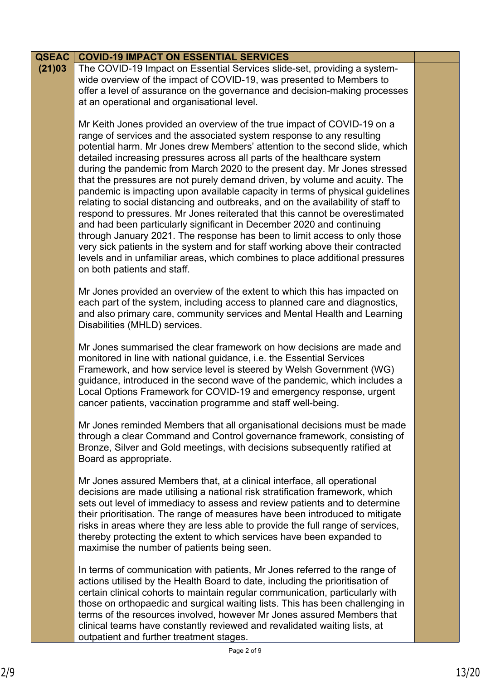| <b>QSEAC</b> | <b>COVID-19 IMPACT ON ESSENTIAL SERVICES</b>                                                                                                                                                                                                                                                                                                                                                                                                                                                                                                                                                                                                                                                                                                                                                                                                                                                                                                                                                                                                                                    |  |
|--------------|---------------------------------------------------------------------------------------------------------------------------------------------------------------------------------------------------------------------------------------------------------------------------------------------------------------------------------------------------------------------------------------------------------------------------------------------------------------------------------------------------------------------------------------------------------------------------------------------------------------------------------------------------------------------------------------------------------------------------------------------------------------------------------------------------------------------------------------------------------------------------------------------------------------------------------------------------------------------------------------------------------------------------------------------------------------------------------|--|
| (21)03       | The COVID-19 Impact on Essential Services slide-set, providing a system-<br>wide overview of the impact of COVID-19, was presented to Members to<br>offer a level of assurance on the governance and decision-making processes<br>at an operational and organisational level.                                                                                                                                                                                                                                                                                                                                                                                                                                                                                                                                                                                                                                                                                                                                                                                                   |  |
|              | Mr Keith Jones provided an overview of the true impact of COVID-19 on a<br>range of services and the associated system response to any resulting<br>potential harm. Mr Jones drew Members' attention to the second slide, which<br>detailed increasing pressures across all parts of the healthcare system<br>during the pandemic from March 2020 to the present day. Mr Jones stressed<br>that the pressures are not purely demand driven, by volume and acuity. The<br>pandemic is impacting upon available capacity in terms of physical guidelines<br>relating to social distancing and outbreaks, and on the availability of staff to<br>respond to pressures. Mr Jones reiterated that this cannot be overestimated<br>and had been particularly significant in December 2020 and continuing<br>through January 2021. The response has been to limit access to only those<br>very sick patients in the system and for staff working above their contracted<br>levels and in unfamiliar areas, which combines to place additional pressures<br>on both patients and staff. |  |
|              | Mr Jones provided an overview of the extent to which this has impacted on<br>each part of the system, including access to planned care and diagnostics,<br>and also primary care, community services and Mental Health and Learning<br>Disabilities (MHLD) services.                                                                                                                                                                                                                                                                                                                                                                                                                                                                                                                                                                                                                                                                                                                                                                                                            |  |
|              | Mr Jones summarised the clear framework on how decisions are made and<br>monitored in line with national guidance, i.e. the Essential Services<br>Framework, and how service level is steered by Welsh Government (WG)<br>guidance, introduced in the second wave of the pandemic, which includes a<br>Local Options Framework for COVID-19 and emergency response, urgent<br>cancer patients, vaccination programme and staff well-being.                                                                                                                                                                                                                                                                                                                                                                                                                                                                                                                                                                                                                                      |  |
|              | Mr Jones reminded Members that all organisational decisions must be made<br>through a clear Command and Control governance framework, consisting of<br>Bronze, Silver and Gold meetings, with decisions subsequently ratified at<br>Board as appropriate.                                                                                                                                                                                                                                                                                                                                                                                                                                                                                                                                                                                                                                                                                                                                                                                                                       |  |
|              | Mr Jones assured Members that, at a clinical interface, all operational<br>decisions are made utilising a national risk stratification framework, which<br>sets out level of immediacy to assess and review patients and to determine<br>their prioritisation. The range of measures have been introduced to mitigate<br>risks in areas where they are less able to provide the full range of services,<br>thereby protecting the extent to which services have been expanded to<br>maximise the number of patients being seen.                                                                                                                                                                                                                                                                                                                                                                                                                                                                                                                                                 |  |
|              | In terms of communication with patients, Mr Jones referred to the range of<br>actions utilised by the Health Board to date, including the prioritisation of<br>certain clinical cohorts to maintain regular communication, particularly with<br>those on orthopaedic and surgical waiting lists. This has been challenging in<br>terms of the resources involved, however Mr Jones assured Members that<br>clinical teams have constantly reviewed and revalidated waiting lists, at<br>outpatient and further treatment stages.                                                                                                                                                                                                                                                                                                                                                                                                                                                                                                                                                |  |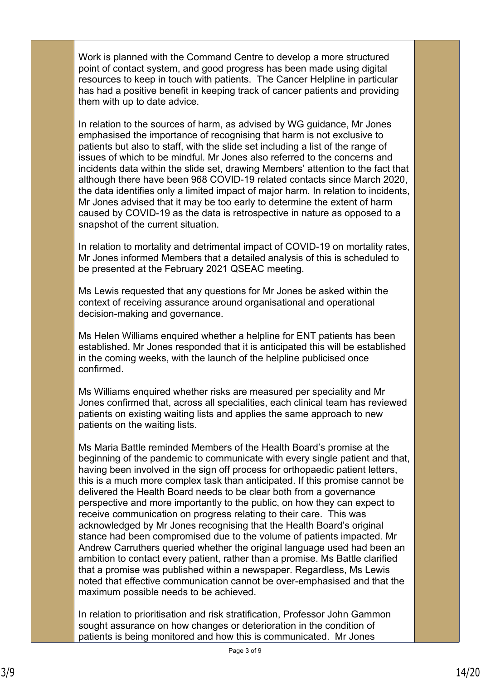Work is planned with the Command Centre to develop a more structured point of contact system, and good progress has been made using digital resources to keep in touch with patients. The Cancer Helpline in particular has had a positive benefit in keeping track of cancer patients and providing them with up to date advice.

In relation to the sources of harm, as advised by WG guidance, Mr Jones emphasised the importance of recognising that harm is not exclusive to patients but also to staff, with the slide set including a list of the range of issues of which to be mindful. Mr Jones also referred to the concerns and incidents data within the slide set, drawing Members' attention to the fact that although there have been 968 COVID-19 related contacts since March 2020, the data identifies only a limited impact of major harm. In relation to incidents, Mr Jones advised that it may be too early to determine the extent of harm caused by COVID-19 as the data is retrospective in nature as opposed to a snapshot of the current situation.

In relation to mortality and detrimental impact of COVID-19 on mortality rates, Mr Jones informed Members that a detailed analysis of this is scheduled to be presented at the February 2021 QSEAC meeting.

Ms Lewis requested that any questions for Mr Jones be asked within the context of receiving assurance around organisational and operational decision-making and governance.

Ms Helen Williams enquired whether a helpline for ENT patients has been established. Mr Jones responded that it is anticipated this will be established in the coming weeks, with the launch of the helpline publicised once confirmed.

Ms Williams enquired whether risks are measured per speciality and Mr Jones confirmed that, across all specialities, each clinical team has reviewed patients on existing waiting lists and applies the same approach to new patients on the waiting lists.

Ms Maria Battle reminded Members of the Health Board's promise at the beginning of the pandemic to communicate with every single patient and that, having been involved in the sign off process for orthopaedic patient letters, this is a much more complex task than anticipated. If this promise cannot be delivered the Health Board needs to be clear both from a governance perspective and more importantly to the public, on how they can expect to receive communication on progress relating to their care. This was acknowledged by Mr Jones recognising that the Health Board's original stance had been compromised due to the volume of patients impacted. Mr Andrew Carruthers queried whether the original language used had been an ambition to contact every patient, rather than a promise. Ms Battle clarified that a promise was published within a newspaper. Regardless, Ms Lewis noted that effective communication cannot be over-emphasised and that the maximum possible needs to be achieved.

In relation to prioritisation and risk stratification, Professor John Gammon sought assurance on how changes or deterioration in the condition of patients is being monitored and how this is communicated. Mr Jones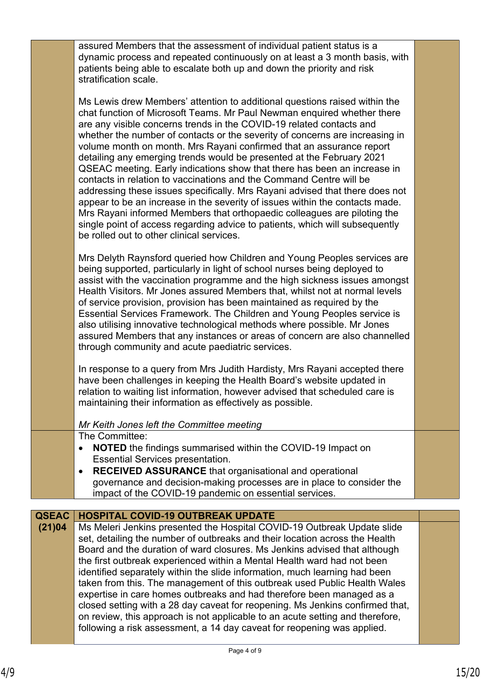|              | assured Members that the assessment of individual patient status is a<br>dynamic process and repeated continuously on at least a 3 month basis, with<br>patients being able to escalate both up and down the priority and risk<br>stratification scale.                                                                                                                                                                                                                                                                                                                                                                                                                                                                                                                                                                                                                                                                                                                                    |  |
|--------------|--------------------------------------------------------------------------------------------------------------------------------------------------------------------------------------------------------------------------------------------------------------------------------------------------------------------------------------------------------------------------------------------------------------------------------------------------------------------------------------------------------------------------------------------------------------------------------------------------------------------------------------------------------------------------------------------------------------------------------------------------------------------------------------------------------------------------------------------------------------------------------------------------------------------------------------------------------------------------------------------|--|
|              | Ms Lewis drew Members' attention to additional questions raised within the<br>chat function of Microsoft Teams. Mr Paul Newman enquired whether there<br>are any visible concerns trends in the COVID-19 related contacts and<br>whether the number of contacts or the severity of concerns are increasing in<br>volume month on month. Mrs Rayani confirmed that an assurance report<br>detailing any emerging trends would be presented at the February 2021<br>QSEAC meeting. Early indications show that there has been an increase in<br>contacts in relation to vaccinations and the Command Centre will be<br>addressing these issues specifically. Mrs Rayani advised that there does not<br>appear to be an increase in the severity of issues within the contacts made.<br>Mrs Rayani informed Members that orthopaedic colleagues are piloting the<br>single point of access regarding advice to patients, which will subsequently<br>be rolled out to other clinical services. |  |
|              | Mrs Delyth Raynsford queried how Children and Young Peoples services are<br>being supported, particularly in light of school nurses being deployed to<br>assist with the vaccination programme and the high sickness issues amongst<br>Health Visitors. Mr Jones assured Members that, whilst not at normal levels<br>of service provision, provision has been maintained as required by the<br>Essential Services Framework. The Children and Young Peoples service is<br>also utilising innovative technological methods where possible. Mr Jones<br>assured Members that any instances or areas of concern are also channelled<br>through community and acute paediatric services.                                                                                                                                                                                                                                                                                                      |  |
|              | In response to a query from Mrs Judith Hardisty, Mrs Rayani accepted there<br>have been challenges in keeping the Health Board's website updated in<br>relation to waiting list information, however advised that scheduled care is<br>maintaining their information as effectively as possible.                                                                                                                                                                                                                                                                                                                                                                                                                                                                                                                                                                                                                                                                                           |  |
|              | Mr Keith Jones left the Committee meeting<br>The Committee:                                                                                                                                                                                                                                                                                                                                                                                                                                                                                                                                                                                                                                                                                                                                                                                                                                                                                                                                |  |
|              | <b>NOTED</b> the findings summarised within the COVID-19 Impact on<br>$\bullet$<br><b>Essential Services presentation.</b><br><b>RECEIVED ASSURANCE</b> that organisational and operational<br>$\bullet$                                                                                                                                                                                                                                                                                                                                                                                                                                                                                                                                                                                                                                                                                                                                                                                   |  |
|              | governance and decision-making processes are in place to consider the                                                                                                                                                                                                                                                                                                                                                                                                                                                                                                                                                                                                                                                                                                                                                                                                                                                                                                                      |  |
|              | impact of the COVID-19 pandemic on essential services.                                                                                                                                                                                                                                                                                                                                                                                                                                                                                                                                                                                                                                                                                                                                                                                                                                                                                                                                     |  |
| <b>QSEAC</b> | <b>HOSPITAL COVID-19 OUTBREAK UPDATE</b>                                                                                                                                                                                                                                                                                                                                                                                                                                                                                                                                                                                                                                                                                                                                                                                                                                                                                                                                                   |  |
| (21)04       | Ms Meleri Jenkins presented the Hospital COVID-19 Outbreak Update slide<br>set, detailing the number of outbreaks and their location across the Health<br>Board and the duration of ward closures. Ms Jenkins advised that although<br>the first outbreak experienced within a Mental Health ward had not been<br>identified separately within the slide information, much learning had been<br>taken from this. The management of this outbreak used Public Health Wales<br>expertise in care homes outbreaks and had therefore been managed as a<br>closed setting with a 28 day caveat for reopening. Ms Jenkins confirmed that,<br>on review, this approach is not applicable to an acute setting and therefore,<br>following a risk assessment, a 14 day caveat for reopening was applied.                                                                                                                                                                                            |  |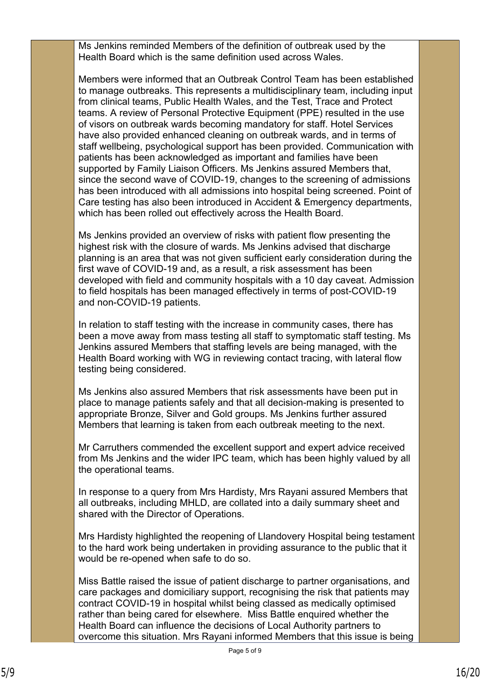Ms Jenkins reminded Members of the definition of outbreak used by the Health Board which is the same definition used across Wales.

Members were informed that an Outbreak Control Team has been established to manage outbreaks. This represents a multidisciplinary team, including input from clinical teams, Public Health Wales, and the Test, Trace and Protect teams. A review of Personal Protective Equipment (PPE) resulted in the use of visors on outbreak wards becoming mandatory for staff. Hotel Services have also provided enhanced cleaning on outbreak wards, and in terms of staff wellbeing, psychological support has been provided. Communication with patients has been acknowledged as important and families have been supported by Family Liaison Officers. Ms Jenkins assured Members that, since the second wave of COVID-19, changes to the screening of admissions has been introduced with all admissions into hospital being screened. Point of Care testing has also been introduced in Accident & Emergency departments, which has been rolled out effectively across the Health Board.

Ms Jenkins provided an overview of risks with patient flow presenting the highest risk with the closure of wards. Ms Jenkins advised that discharge planning is an area that was not given sufficient early consideration during the first wave of COVID-19 and, as a result, a risk assessment has been developed with field and community hospitals with a 10 day caveat. Admission to field hospitals has been managed effectively in terms of post-COVID-19 and non-COVID-19 patients.

In relation to staff testing with the increase in community cases, there has been a move away from mass testing all staff to symptomatic staff testing. Ms Jenkins assured Members that staffing levels are being managed, with the Health Board working with WG in reviewing contact tracing, with lateral flow testing being considered.

Ms Jenkins also assured Members that risk assessments have been put in place to manage patients safely and that all decision-making is presented to appropriate Bronze, Silver and Gold groups. Ms Jenkins further assured Members that learning is taken from each outbreak meeting to the next.

Mr Carruthers commended the excellent support and expert advice received from Ms Jenkins and the wider IPC team, which has been highly valued by all the operational teams.

In response to a query from Mrs Hardisty, Mrs Rayani assured Members that all outbreaks, including MHLD, are collated into a daily summary sheet and shared with the Director of Operations.

Mrs Hardisty highlighted the reopening of Llandovery Hospital being testament to the hard work being undertaken in providing assurance to the public that it would be re-opened when safe to do so.

Miss Battle raised the issue of patient discharge to partner organisations, and care packages and domiciliary support, recognising the risk that patients may contract COVID-19 in hospital whilst being classed as medically optimised rather than being cared for elsewhere. Miss Battle enquired whether the Health Board can influence the decisions of Local Authority partners to overcome this situation. Mrs Rayani informed Members that this issue is being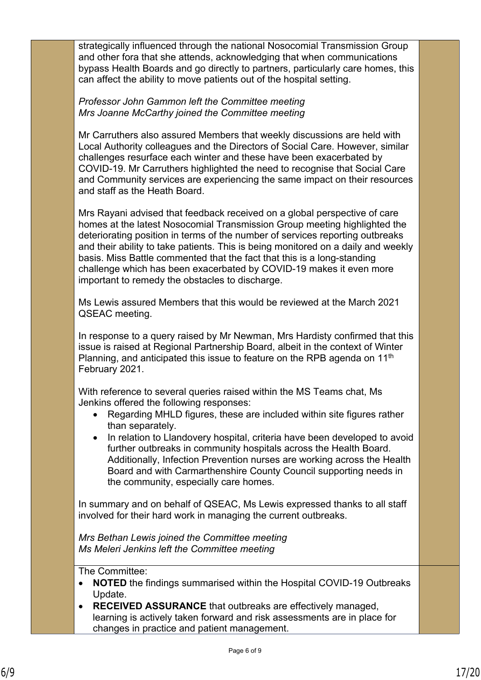strategically influenced through the national Nosocomial Transmission Group and other fora that she attends, acknowledging that when communications bypass Health Boards and go directly to partners, particularly care homes, this can affect the ability to move patients out of the hospital setting.

## *Professor John Gammon left the Committee meeting Mrs Joanne McCarthy joined the Committee meeting*

Mr Carruthers also assured Members that weekly discussions are held with Local Authority colleagues and the Directors of Social Care. However, similar challenges resurface each winter and these have been exacerbated by COVID-19. Mr Carruthers highlighted the need to recognise that Social Care and Community services are experiencing the same impact on their resources and staff as the Heath Board.

Mrs Rayani advised that feedback received on a global perspective of care homes at the latest Nosocomial Transmission Group meeting highlighted the deteriorating position in terms of the number of services reporting outbreaks and their ability to take patients. This is being monitored on a daily and weekly basis. Miss Battle commented that the fact that this is a long-standing challenge which has been exacerbated by COVID-19 makes it even more important to remedy the obstacles to discharge.

Ms Lewis assured Members that this would be reviewed at the March 2021 QSEAC meeting.

In response to a query raised by Mr Newman, Mrs Hardisty confirmed that this issue is raised at Regional Partnership Board, albeit in the context of Winter Planning, and anticipated this issue to feature on the RPB agenda on 11<sup>th</sup> February 2021.

With reference to several queries raised within the MS Teams chat, Ms Jenkins offered the following responses:

- Regarding MHLD figures, these are included within site figures rather than separately.
- In relation to Llandovery hospital, criteria have been developed to avoid further outbreaks in community hospitals across the Health Board. Additionally, Infection Prevention nurses are working across the Health Board and with Carmarthenshire County Council supporting needs in the community, especially care homes.

In summary and on behalf of QSEAC, Ms Lewis expressed thanks to all staff involved for their hard work in managing the current outbreaks.

*Mrs Bethan Lewis joined the Committee meeting Ms Meleri Jenkins left the Committee meeting*

The Committee:

- **NOTED** the findings summarised within the Hospital COVID-19 Outbreaks Update.
- **RECEIVED ASSURANCE** that outbreaks are effectively managed, learning is actively taken forward and risk assessments are in place for changes in practice and patient management.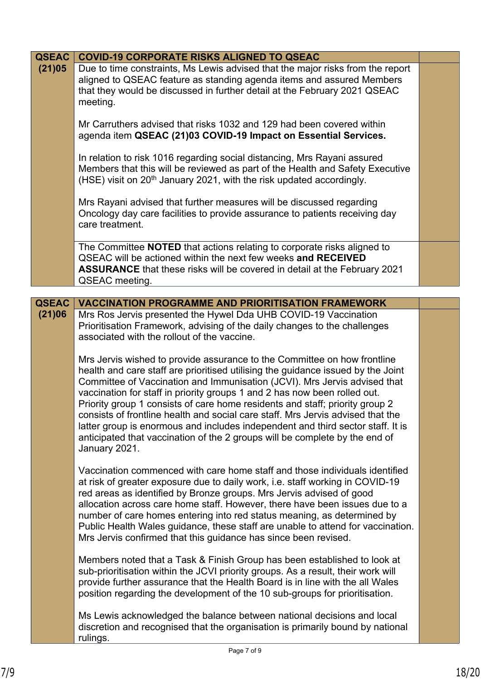| <b>QSEAC</b> | <b>COVID-19 CORPORATE RISKS ALIGNED TO QSEAC</b>                                                                                                                                                                                                                                                                                                                                                                                                                                                                                                                                                                                                                             |  |
|--------------|------------------------------------------------------------------------------------------------------------------------------------------------------------------------------------------------------------------------------------------------------------------------------------------------------------------------------------------------------------------------------------------------------------------------------------------------------------------------------------------------------------------------------------------------------------------------------------------------------------------------------------------------------------------------------|--|
| (21)05       | Due to time constraints, Ms Lewis advised that the major risks from the report<br>aligned to QSEAC feature as standing agenda items and assured Members<br>that they would be discussed in further detail at the February 2021 QSEAC<br>meeting.                                                                                                                                                                                                                                                                                                                                                                                                                             |  |
|              | Mr Carruthers advised that risks 1032 and 129 had been covered within<br>agenda item QSEAC (21)03 COVID-19 Impact on Essential Services.                                                                                                                                                                                                                                                                                                                                                                                                                                                                                                                                     |  |
|              | In relation to risk 1016 regarding social distancing, Mrs Rayani assured<br>Members that this will be reviewed as part of the Health and Safety Executive<br>(HSE) visit on 20 <sup>th</sup> January 2021, with the risk updated accordingly.                                                                                                                                                                                                                                                                                                                                                                                                                                |  |
|              | Mrs Rayani advised that further measures will be discussed regarding<br>Oncology day care facilities to provide assurance to patients receiving day<br>care treatment.                                                                                                                                                                                                                                                                                                                                                                                                                                                                                                       |  |
|              | The Committee <b>NOTED</b> that actions relating to corporate risks aligned to<br>QSEAC will be actioned within the next few weeks and RECEIVED<br><b>ASSURANCE</b> that these risks will be covered in detail at the February 2021<br>QSEAC meeting.                                                                                                                                                                                                                                                                                                                                                                                                                        |  |
|              |                                                                                                                                                                                                                                                                                                                                                                                                                                                                                                                                                                                                                                                                              |  |
| <b>QSEAC</b> | <b>VACCINATION PROGRAMME AND PRIORITISATION FRAMEWORK</b>                                                                                                                                                                                                                                                                                                                                                                                                                                                                                                                                                                                                                    |  |
| (21)06       | Mrs Ros Jervis presented the Hywel Dda UHB COVID-19 Vaccination<br>Prioritisation Framework, advising of the daily changes to the challenges<br>associated with the rollout of the vaccine.                                                                                                                                                                                                                                                                                                                                                                                                                                                                                  |  |
|              | Mrs Jervis wished to provide assurance to the Committee on how frontline<br>health and care staff are prioritised utilising the guidance issued by the Joint<br>Committee of Vaccination and Immunisation (JCVI). Mrs Jervis advised that<br>vaccination for staff in priority groups 1 and 2 has now been rolled out.<br>Priority group 1 consists of care home residents and staff; priority group 2<br>consists of frontline health and social care staff. Mrs Jervis advised that the<br>latter group is enormous and includes independent and third sector staff. It is<br>anticipated that vaccination of the 2 groups will be complete by the end of<br>January 2021. |  |
|              | Vaccination commenced with care home staff and those individuals identified<br>at risk of greater exposure due to daily work, i.e. staff working in COVID-19<br>red areas as identified by Bronze groups. Mrs Jervis advised of good<br>allocation across care home staff. However, there have been issues due to a<br>number of care homes entering into red status meaning, as determined by<br>Public Health Wales guidance, these staff are unable to attend for vaccination.<br>Mrs Jervis confirmed that this guidance has since been revised.                                                                                                                         |  |
|              | Members noted that a Task & Finish Group has been established to look at<br>sub-prioritisation within the JCVI priority groups. As a result, their work will<br>provide further assurance that the Health Board is in line with the all Wales<br>position regarding the development of the 10 sub-groups for prioritisation.                                                                                                                                                                                                                                                                                                                                                 |  |
|              | Ms Lewis acknowledged the balance between national decisions and local<br>discretion and recognised that the organisation is primarily bound by national<br>rulings.                                                                                                                                                                                                                                                                                                                                                                                                                                                                                                         |  |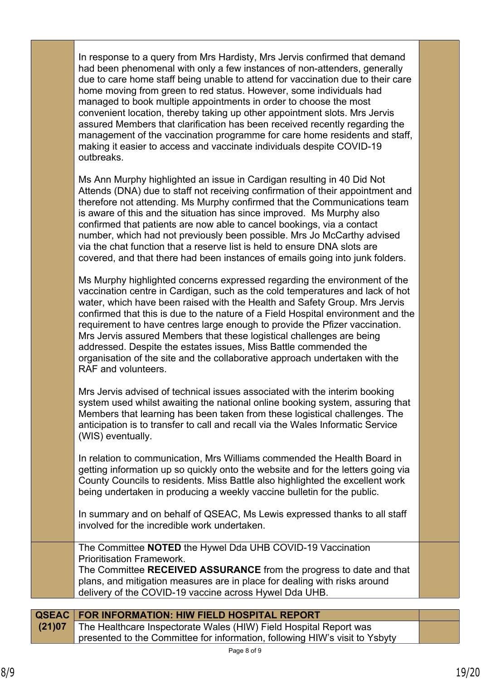| <b>QSEAC</b> | FOR INFORMATION: HIW FIELD HOSPITAL REPORT                                                                                                                                                                                                                                                                                                                                                                                                                                                                                                                                                                                                                                                                               |  |
|--------------|--------------------------------------------------------------------------------------------------------------------------------------------------------------------------------------------------------------------------------------------------------------------------------------------------------------------------------------------------------------------------------------------------------------------------------------------------------------------------------------------------------------------------------------------------------------------------------------------------------------------------------------------------------------------------------------------------------------------------|--|
|              | The Committee NOTED the Hywel Dda UHB COVID-19 Vaccination<br><b>Prioritisation Framework.</b><br>The Committee RECEIVED ASSURANCE from the progress to date and that<br>plans, and mitigation measures are in place for dealing with risks around<br>delivery of the COVID-19 vaccine across Hywel Dda UHB.                                                                                                                                                                                                                                                                                                                                                                                                             |  |
|              | In summary and on behalf of QSEAC, Ms Lewis expressed thanks to all staff<br>involved for the incredible work undertaken.                                                                                                                                                                                                                                                                                                                                                                                                                                                                                                                                                                                                |  |
|              | In relation to communication, Mrs Williams commended the Health Board in<br>getting information up so quickly onto the website and for the letters going via<br>County Councils to residents. Miss Battle also highlighted the excellent work<br>being undertaken in producing a weekly vaccine bulletin for the public.                                                                                                                                                                                                                                                                                                                                                                                                 |  |
|              | Mrs Jervis advised of technical issues associated with the interim booking<br>system used whilst awaiting the national online booking system, assuring that<br>Members that learning has been taken from these logistical challenges. The<br>anticipation is to transfer to call and recall via the Wales Informatic Service<br>(WIS) eventually.                                                                                                                                                                                                                                                                                                                                                                        |  |
|              | Ms Murphy highlighted concerns expressed regarding the environment of the<br>vaccination centre in Cardigan, such as the cold temperatures and lack of hot<br>water, which have been raised with the Health and Safety Group. Mrs Jervis<br>confirmed that this is due to the nature of a Field Hospital environment and the<br>requirement to have centres large enough to provide the Pfizer vaccination.<br>Mrs Jervis assured Members that these logistical challenges are being<br>addressed. Despite the estates issues, Miss Battle commended the<br>organisation of the site and the collaborative approach undertaken with the<br>RAF and volunteers.                                                           |  |
|              | Ms Ann Murphy highlighted an issue in Cardigan resulting in 40 Did Not<br>Attends (DNA) due to staff not receiving confirmation of their appointment and<br>therefore not attending. Ms Murphy confirmed that the Communications team<br>is aware of this and the situation has since improved. Ms Murphy also<br>confirmed that patients are now able to cancel bookings, via a contact<br>number, which had not previously been possible. Mrs Jo McCarthy advised<br>via the chat function that a reserve list is held to ensure DNA slots are<br>covered, and that there had been instances of emails going into junk folders.                                                                                        |  |
|              | In response to a query from Mrs Hardisty, Mrs Jervis confirmed that demand<br>had been phenomenal with only a few instances of non-attenders, generally<br>due to care home staff being unable to attend for vaccination due to their care<br>home moving from green to red status. However, some individuals had<br>managed to book multiple appointments in order to choose the most<br>convenient location, thereby taking up other appointment slots. Mrs Jervis<br>assured Members that clarification has been received recently regarding the<br>management of the vaccination programme for care home residents and staff,<br>making it easier to access and vaccinate individuals despite COVID-19<br>outbreaks. |  |
|              |                                                                                                                                                                                                                                                                                                                                                                                                                                                                                                                                                                                                                                                                                                                          |  |

| (21)07 The Healthcare Inspectorate Wales (HIW) Field Hospital Report was    |
|-----------------------------------------------------------------------------|
| presented to the Committee for information, following HIW's visit to Ysbyty |